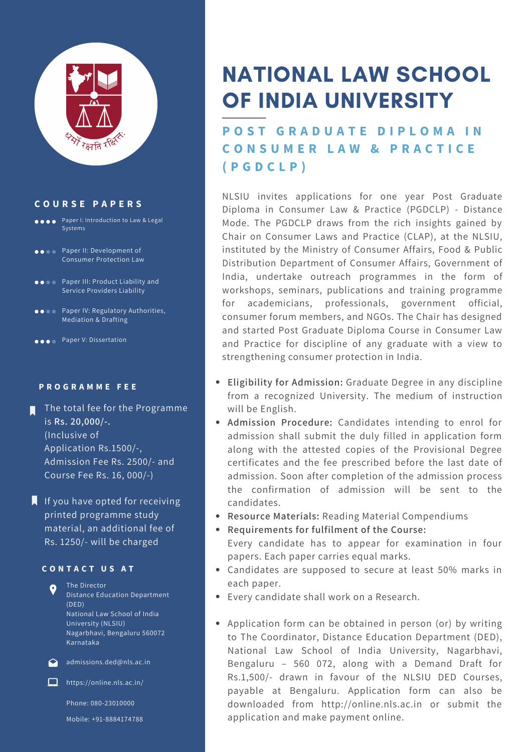

### **C O U R S E P A P E R S**

- **Paper I: Introduction to Law & Legal** Systems
- Paper II: Development of Consumer Protection Law
- **Paper III: Product Liability and** Service Providers Liability
- **OCOO** Paper IV: Regulatory Authorities, Mediation & Drafting
- **Paper V: Dissertation**

### **P R O G R A M M E F E E**

- The total fee for the Programme is **Rs. 20,000/-.** (Inclusive of Application Rs.1500/-, Admission Fee Rs. 2500/- and Course Fee Rs. 16, 000/-)
- $\blacksquare$  If you have opted for receiving printed programme study material, an additional fee of Rs. 1250/- will be charged

### **C O N T A C T U S A T**

The Director  $\bullet$ Distance Education Department (DED) National Law School of India University (NLSIU) Nagarbhavi, Bengaluru 560072 Karnataka



 $\bigcirc$  admissions.ded@nls.ac.in

 $\Box$  https://online.nls.ac.in/

Phone: 080-23010000 Mobile: +91-8884174788

# NATIONAL LAW SCHOOL OF INDIA UNIVERSITY

**P O S T G R A D U A T E D I P L O M A I N C O N S U M E R L A W & P R A C T I C E ( P G D C L P )**

NLSIU invites applications for one year Post Graduate Diploma in Consumer Law & Practice (PGDCLP) - Distance Mode. The PGDCLP draws from the rich insights gained by Chair on Consumer Laws and Practice (CLAP), at the NLSIU, instituted by the Ministry of Consumer Affairs, Food & Public Distribution Department of Consumer Affairs, Government of India, undertake outreach programmes in the form of workshops, seminars, publications and training programme for academicians, professionals, government official, consumer forum members, and NGOs. The Chair has designed and started Post Graduate Diploma Course in Consumer Law and Practice for discipline of any graduate with a view to strengthening consumer protection in India.

- **Eligibility for Admission:** Graduate Degree in any discipline from a recognized University. The medium of instruction will be English.
- **Admission Procedure:** Candidates intending to enrol for admission shall submit the duly filled in application form along with the attested copies of the Provisional Degree certificates and the fee prescribed before the last date of admission. Soon after completion of the admission process the confirmation of admission will be sent to the candidates.
- **Resource Materials:** Reading Material Compendiums
- **Requirements for fulfilment of the Course:** Every candidate has to appear for examination in four papers. Each paper carries equal marks.
- Candidates are supposed to secure at least 50% marks in each paper.
- Every candidate shall work on a Research.
- Application form can be obtained in person (or) by writing to The Coordinator, Distance Education Department (DED), National Law School of India University, Nagarbhavi, Bengaluru – 560 072, along with a Demand Draft for Rs.1,500/- drawn in favour of the NLSIU DED Courses, payable at Bengaluru. Application form can also be downloaded from [http://online.nls.ac.in](http://online.nls.ac.in/) or submit the application and make payment online.